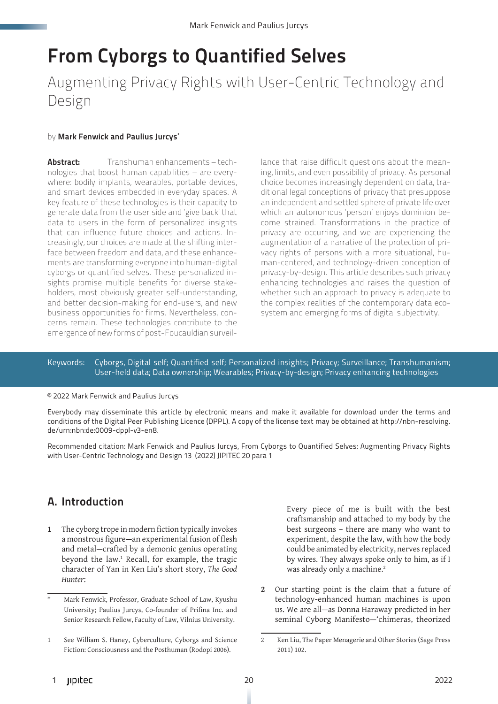# From Cyborgs to Quantified Selves

Augmenting Privacy Rights with User-Centric Technology and Design

#### by Mark Fenwick and Paulius Jurcys<sup>\*</sup>

Abstract: Transhuman enhancements – technologies that boost human capabilities – are everywhere: bodily implants, wearables, portable devices, and smart devices embedded in everyday spaces. A key feature of these technologies is their capacity to generate data from the user side and 'give back' that data to users in the form of personalized insights that can influence future choices and actions. Increasingly, our choices are made at the shifting interface between freedom and data, and these enhancements are transforming everyone into human-digital cyborgs or quantified selves. These personalized insights promise multiple benefits for diverse stakeholders, most obviously greater self-understanding, and better decision-making for end-users, and new business opportunities for firms. Nevertheless, concerns remain. These technologies contribute to the emergence of new forms of post-Foucauldian surveil-

lance that raise difficult questions about the meaning, limits, and even possibility of privacy. As personal choice becomes increasingly dependent on data, traditional legal conceptions of privacy that presuppose an independent and settled sphere of private life over which an autonomous 'person' enjoys dominion become strained. Transformations in the practice of privacy are occurring, and we are experiencing the augmentation of a narrative of the protection of privacy rights of persons with a more situational, human-centered, and technology-driven conception of privacy-by-design. This article describes such privacy enhancing technologies and raises the question of whether such an approach to privacy is adequate to the complex realities of the contemporary data ecosystem and emerging forms of digital subjectivity.

#### Keywords: Cyborgs, Digital self; Quantified self; Personalized insights; Privacy; Surveillance; Transhumanism; User-held data; Data ownership; Wearables; Privacy-by-design; Privacy enhancing technologies

#### © 2022 Mark Fenwick and Paulius Jurcys

Everybody may disseminate this article by electronic means and make it available for download under the terms and conditions of the Digital Peer Publishing Licence (DPPL). A copy of the license text may be obtained at http://nbn-resolving. de/urn:nbn:de:0009-dppl-v3-en8.

Recommended citation: Mark Fenwick and Paulius Jurcys, From Cyborgs to Quantified Selves: Augmenting Privacy Rights with User-Centric Technology and Design 13 (2022) JIPITEC 20 para 1

# A. Introduction

**1** The cyborg trope in modern fiction typically invokes a monstrous figure—an experimental fusion of flesh and metal—crafted by a demonic genius operating beyond the law.<sup>1</sup> Recall, for example, the tragic character of Yan in Ken Liu's short story, *The Good Hunter*:

Every piece of me is built with the best craftsmanship and attached to my body by the best surgeons – there are many who want to experiment, despite the law, with how the body could be animated by electricity, nerves replaced by wires. They always spoke only to him, as if I was already only a machine.<sup>2</sup>

**2** Our starting point is the claim that a future of technology-enhanced human machines is upon us. We are all—as Donna Haraway predicted in her seminal Cyborg Manifesto—'chimeras, theorized

<sup>\*</sup> Mark Fenwick, Professor, Graduate School of Law, Kyushu University; Paulius Jurcys, Co-founder of Prifina Inc. and Senior Research Fellow, Faculty of Law, Vilnius University.

<sup>1</sup> See William S. Haney, Cyberculture, Cyborgs and Science Fiction: Consciousness and the Posthuman (Rodopi 2006).

<sup>2</sup> Ken Liu, The Paper Menagerie and Other Stories (Sage Press 2011) 102.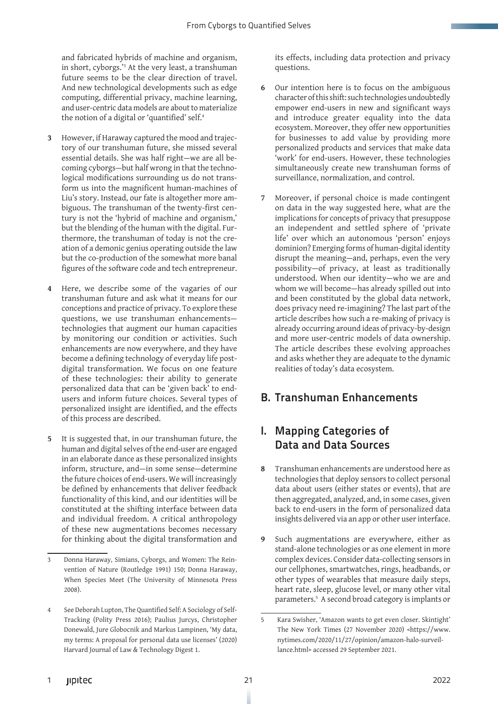and fabricated hybrids of machine and organism, in short, cyborgs.'3 At the very least, a transhuman future seems to be the clear direction of travel. And new technological developments such as edge computing, differential privacy, machine learning, and user-centric data models are about to materialize the notion of a digital or 'quantified' self.<sup>4</sup>

- **3** However, if Haraway captured the mood and trajectory of our transhuman future, she missed several essential details. She was half right—we are all becoming cyborgs—but half wrong in that the technological modifications surrounding us do not transform us into the magnificent human-machines of Liu's story. Instead, our fate is altogether more ambiguous. The transhuman of the twenty-first century is not the 'hybrid of machine and organism,' but the blending of the human with the digital. Furthermore, the transhuman of today is not the creation of a demonic genius operating outside the law but the co-production of the somewhat more banal figures of the software code and tech entrepreneur.
- **4** Here, we describe some of the vagaries of our transhuman future and ask what it means for our conceptions and practice of privacy. To explore these questions, we use transhuman enhancements technologies that augment our human capacities by monitoring our condition or activities. Such enhancements are now everywhere, and they have become a defining technology of everyday life postdigital transformation. We focus on one feature of these technologies: their ability to generate personalized data that can be 'given back' to endusers and inform future choices. Several types of personalized insight are identified, and the effects of this process are described.
- **5** It is suggested that, in our transhuman future, the human and digital selves of the end-user are engaged in an elaborate dance as these personalized insights inform, structure, and—in some sense—determine the future choices of end-users. We will increasingly be defined by enhancements that deliver feedback functionality of this kind, and our identities will be constituted at the shifting interface between data and individual freedom. A critical anthropology of these new augmentations becomes necessary for thinking about the digital transformation and

its effects, including data protection and privacy questions.

- **6** Our intention here is to focus on the ambiguous character of this shift: such technologies undoubtedly empower end-users in new and significant ways and introduce greater equality into the data ecosystem. Moreover, they offer new opportunities for businesses to add value by providing more personalized products and services that make data 'work' for end-users. However, these technologies simultaneously create new transhuman forms of surveillance, normalization, and control.
- **7** Moreover, if personal choice is made contingent on data in the way suggested here, what are the implications for concepts of privacy that presuppose an independent and settled sphere of 'private life' over which an autonomous 'person' enjoys dominion? Emerging forms of human-digital identity disrupt the meaning—and, perhaps, even the very possibility—of privacy, at least as traditionally understood. When our identity—who we are and whom we will become—has already spilled out into and been constituted by the global data network, does privacy need re-imagining? The last part of the article describes how such a re-making of privacy is already occurring around ideas of privacy-by-design and more user-centric models of data ownership. The article describes these evolving approaches and asks whether they are adequate to the dynamic realities of today's data ecosystem.

### B. Transhuman Enhancements

# I. Mapping Categories of Data and Data Sources

- **8** Transhuman enhancements are understood here as technologies that deploy sensors to collect personal data about users (either states or events), that are then aggregated, analyzed, and, in some cases, given back to end-users in the form of personalized data insights delivered via an app or other user interface.
- **9** Such augmentations are everywhere, either as stand-alone technologies or as one element in more complex devices. Consider data-collecting sensors in our cellphones, smartwatches, rings, headbands, or other types of wearables that measure daily steps, heart rate, sleep, glucose level, or many other vital parameters.5 A second broad category is implants or

<sup>3</sup> Donna Haraway, Simians, Cyborgs, and Women: The Reinvention of Nature (Routledge 1991) 150; Donna Haraway, When Species Meet (The University of Minnesota Press 2008).

<sup>4</sup> See Deborah Lupton, The Quantified Self: A Sociology of Self-Tracking (Polity Press 2016); Paulius Jurcys, Christopher Donewald, Jure Globocnik and Markus Lampinen, 'My data, my terms: A proposal for personal data use licenses' (2020) Harvard Journal of Law & Technology Digest 1.

<sup>5</sup> Kara Swisher, 'Amazon wants to get even closer. Skintight' The New York Times (27 November 2020) <https://www. nytimes.com/2020/11/27/opinion/amazon-halo-surveillance.html> accessed 29 September 2021.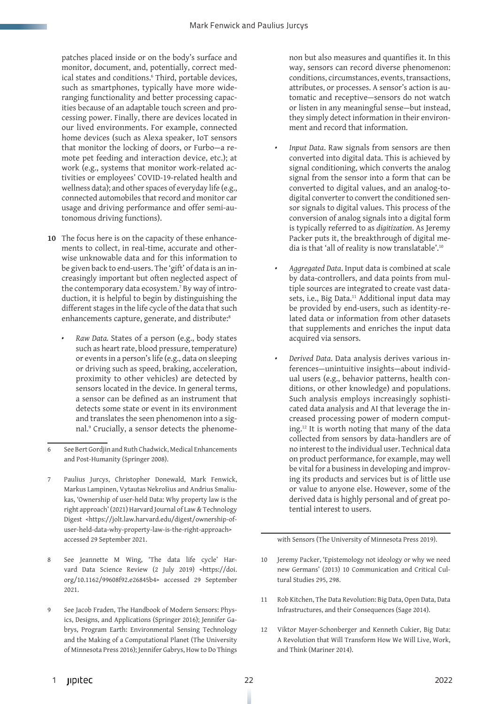patches placed inside or on the body's surface and monitor, document, and, potentially, correct medical states and conditions.6 Third, portable devices, such as smartphones, typically have more wideranging functionality and better processing capacities because of an adaptable touch screen and processing power. Finally, there are devices located in our lived environments. For example, connected home devices (such as Alexa speaker, IoT sensors that monitor the locking of doors, or Furbo—a remote pet feeding and interaction device, etc.); at work (e.g., systems that monitor work-related activities or employees' COVID-19-related health and wellness data); and other spaces of everyday life (e.g., connected automobiles that record and monitor car usage and driving performance and offer semi-autonomous driving functions).

- **10** The focus here is on the capacity of these enhancements to collect, in real-time, accurate and otherwise unknowable data and for this information to be given back to end-users. The 'gift' of data is an increasingly important but often neglected aspect of the contemporary data ecosystem.7 By way of introduction, it is helpful to begin by distinguishing the different stages in the life cycle of the data that such enhancements capture, generate, and distribute:<sup>8</sup>
	- *• Raw Data.* States of a person (e.g., body states such as heart rate, blood pressure, temperature) or events in a person's life (e.g., data on sleeping or driving such as speed, braking, acceleration, proximity to other vehicles) are detected by sensors located in the device. In general terms, a sensor can be defined as an instrument that detects some state or event in its environment and translates the seen phenomenon into a signal.9 Crucially, a sensor detects the phenome-

non but also measures and quantifies it. In this way, sensors can record diverse phenomenon: conditions, circumstances, events, transactions, attributes, or processes. A sensor's action is automatic and receptive—sensors do not watch or listen in any meaningful sense—but instead, they simply detect information in their environment and record that information.

- *• Input Data*. Raw signals from sensors are then converted into digital data. This is achieved by signal conditioning, which converts the analog signal from the sensor into a form that can be converted to digital values, and an analog-todigital converter to convert the conditioned sensor signals to digital values. This process of the conversion of analog signals into a digital form is typically referred to as *digitization*. As Jeremy Packer puts it, the breakthrough of digital media is that 'all of reality is now translatable'.10
- *• Aggregated Data*. Input data is combined at scale by data-controllers, and data points from multiple sources are integrated to create vast datasets, i.e., Big Data.<sup>11</sup> Additional input data may be provided by end-users, such as identity-related data or information from other datasets that supplements and enriches the input data acquired via sensors.
- *• Derived Data*. Data analysis derives various inferences—unintuitive insights—about individual users (e.g., behavior patterns, health conditions, or other knowledge) and populations. Such analysis employs increasingly sophisticated data analysis and AI that leverage the increased processing power of modern computing.12 It is worth noting that many of the data collected from sensors by data-handlers are of no interest to the individual user. Technical data on product performance, for example, may well be vital for a business in developing and improving its products and services but is of little use or value to anyone else. However, some of the derived data is highly personal and of great potential interest to users.

with Sensors (The University of Minnesota Press 2019).

- 10 Jeremy Packer, 'Epistemology not ideology or why we need new Germans' (2013) 10 Communication and Critical Cultural Studies 295, 298.
- 11 Rob Kitchen, The Data Revolution: Big Data, Open Data, Data Infrastructures, and their Consequences (Sage 2014).
- 12 Viktor Mayer-Schonberger and Kenneth Cukier, Big Data: A Revolution that Will Transform How We Will Live, Work, and Think (Mariner 2014).

<sup>6</sup> See Bert Gordjin and Ruth Chadwick, Medical Enhancements and Post-Humanity (Springer 2008).

<sup>7</sup> Paulius Jurcys, Christopher Donewald, Mark Fenwick, Markus Lampinen, Vytautas Nekrošius and Andrius Smaliukas, 'Ownership of user-held Data: Why property law is the right approach' (2021) Harvard Journal of Law & Technology Digest <https://jolt.law.harvard.edu/digest/ownership-ofuser-held-data-why-property-law-is-the-right-approach> accessed 29 September 2021.

<sup>8</sup> See Jeannette M Wing, 'The data life cycle' Harvard Data Science Review (2 July 2019) <https://doi. org/10.1162/99608f92.e26845b4> accessed 29 September 2021.

<sup>9</sup> See Jacob Fraden, The Handbook of Modern Sensors: Physics, Designs, and Applications (Springer 2016); Jennifer Gabrys, Program Earth: Environmental Sensing Technology and the Making of a Computational Planet (The University of Minnesota Press 2016); Jennifer Gabrys, How to Do Things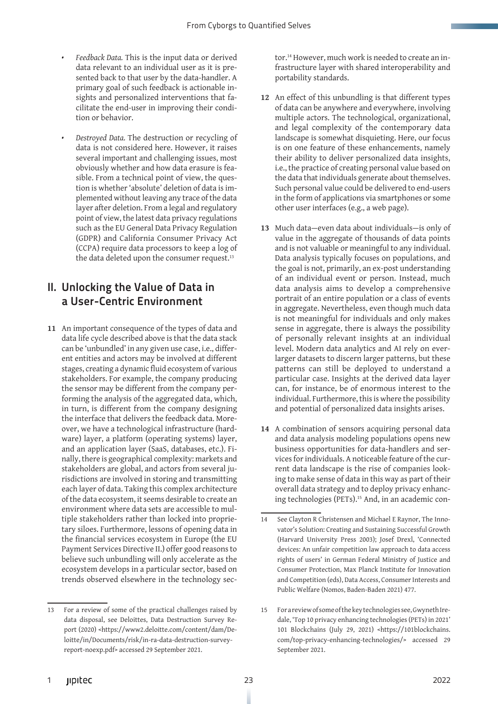- *• Feedback Data.* This is the input data or derived data relevant to an individual user as it is presented back to that user by the data-handler. A primary goal of such feedback is actionable insights and personalized interventions that facilitate the end-user in improving their condition or behavior.
- *• Destroyed Data.* The destruction or recycling of data is not considered here. However, it raises several important and challenging issues, most obviously whether and how data erasure is feasible. From a technical point of view, the question is whether 'absolute' deletion of data is implemented without leaving any trace of the data layer after deletion. From a legal and regulatory point of view, the latest data privacy regulations such as the EU General Data Privacy Regulation (GDPR) and California Consumer Privacy Act (CCPA) require data processors to keep a log of the data deleted upon the consumer request.<sup>13</sup>

#### II. Unlocking the Value of Data in a User-Centric Environment

**11** An important consequence of the types of data and data life cycle described above is that the data stack can be 'unbundled' in any given use case, i.e., different entities and actors may be involved at different stages, creating a dynamic fluid ecosystem of various stakeholders. For example, the company producing the sensor may be different from the company performing the analysis of the aggregated data, which, in turn, is different from the company designing the interface that delivers the feedback data. Moreover, we have a technological infrastructure (hardware) layer, a platform (operating systems) layer, and an application layer (SaaS, databases, etc.). Finally, there is geographical complexity: markets and stakeholders are global, and actors from several jurisdictions are involved in storing and transmitting each layer of data. Taking this complex architecture of the data ecosystem, it seems desirable to create an environment where data sets are accessible to multiple stakeholders rather than locked into proprietary siloes. Furthermore, lessons of opening data in the financial services ecosystem in Europe (the EU Payment Services Directive II.) offer good reasons to believe such unbundling will only accelerate as the ecosystem develops in a particular sector, based on trends observed elsewhere in the technology sector.14 However, much work is needed to create an infrastructure layer with shared interoperability and portability standards.

- **12** An effect of this unbundling is that different types of data can be anywhere and everywhere, involving multiple actors. The technological, organizational, and legal complexity of the contemporary data landscape is somewhat disquieting. Here, our focus is on one feature of these enhancements, namely their ability to deliver personalized data insights, i.e., the practice of creating personal value based on the data that individuals generate about themselves. Such personal value could be delivered to end-users in the form of applications via smartphones or some other user interfaces (e.g., a web page).
- **13** Much data—even data about individuals—is only of value in the aggregate of thousands of data points and is not valuable or meaningful to any individual. Data analysis typically focuses on populations, and the goal is not, primarily, an ex-post understanding of an individual event or person. Instead, much data analysis aims to develop a comprehensive portrait of an entire population or a class of events in aggregate. Nevertheless, even though much data is not meaningful for individuals and only makes sense in aggregate, there is always the possibility of personally relevant insights at an individual level. Modern data analytics and AI rely on everlarger datasets to discern larger patterns, but these patterns can still be deployed to understand a particular case. Insights at the derived data layer can, for instance, be of enormous interest to the individual. Furthermore, this is where the possibility and potential of personalized data insights arises.
- **14** A combination of sensors acquiring personal data and data analysis modeling populations opens new business opportunities for data-handlers and services for individuals. A noticeable feature of the current data landscape is the rise of companies looking to make sense of data in this way as part of their overall data strategy and to deploy privacy enhancing technologies (PETs).<sup>15</sup> And, in an academic con-

<sup>13</sup> For a review of some of the practical challenges raised by data disposal, see Deloittes, Data Destruction Survey Report (2020) <https://www2.deloitte.com/content/dam/Deloitte/in/Documents/risk/in-ra-data-destruction-surveyreport-noexp.pdf> accessed 29 September 2021.

<sup>14</sup> See Clayton R Christensen and Michael E Raynor, The Innovator's Solution: Creating and Sustaining Successful Growth (Harvard University Press 2003); Josef Drexl, 'Connected devices: An unfair competition law approach to data access rights of users' in German Federal Ministry of Justice and Consumer Protection, Max Planck Institute for Innovation and Competition (eds), Data Access, Consumer Interests and Public Welfare (Nomos, Baden-Baden 2021) 477.

<sup>15</sup> For a review of some of the key technologies see, Gwyneth Iredale, 'Top 10 privacy enhancing technologies (PETs) in 2021' 101 Blockchains (July 29, 2021) <https://101blockchains. com/top-privacy-enhancing-technologies/> accessed 29 September 2021.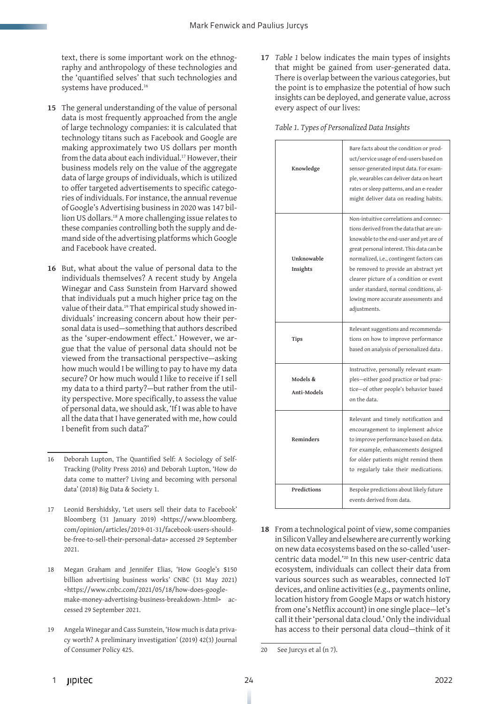text, there is some important work on the ethnography and anthropology of these technologies and the 'quantified selves' that such technologies and systems have produced.16

- **15** The general understanding of the value of personal data is most frequently approached from the angle of large technology companies: it is calculated that technology titans such as Facebook and Google are making approximately two US dollars per month from the data about each individual.<sup>17</sup> However, their business models rely on the value of the aggregate data of large groups of individuals, which is utilized to offer targeted advertisements to specific categories of individuals. For instance, the annual revenue of Google's Advertising business in 2020 was 147 billion US dollars.18 A more challenging issue relates to these companies controlling both the supply and demand side of the advertising platforms which Google and Facebook have created.
- **16** But, what about the value of personal data to the individuals themselves? A recent study by Angela Winegar and Cass Sunstein from Harvard showed that individuals put a much higher price tag on the value of their data.<sup>19</sup> That empirical study showed individuals' increasing concern about how their personal data is used—something that authors described as the 'super-endowment effect.' However, we argue that the value of personal data should not be viewed from the transactional perspective—asking how much would I be willing to pay to have my data secure? Or how much would I like to receive if I sell my data to a third party?—but rather from the utility perspective. More specifically, to assess the value of personal data, we should ask, 'If I was able to have all the data that I have generated with me, how could I benefit from such data?'

- 17 Leonid Bershidsky, 'Let users sell their data to Facebook' Bloomberg (31 January 2019) <https://www.bloomberg. com/opinion/articles/2019-01-31/facebook-users-shouldbe-free-to-sell-their-personal-data> accessed 29 September 2021.
- 18 Megan Graham and Jennifer Elias, 'How Google's \$150 billion advertising business works' CNBC (31 May 2021) <https://www.cnbc.com/2021/05/18/how-does-googlemake-money-advertising-business-breakdown-.html> accessed 29 September 2021.
- 19 Angela Winegar and Cass Sunstein, 'How much is data privacy worth? A preliminary investigation' (2019) 42(3) Journal of Consumer Policy 425.

**17** *Table 1* below indicates the main types of insights that might be gained from user-generated data. There is overlap between the various categories, but the point is to emphasize the potential of how such insights can be deployed, and generate value, across every aspect of our lives:

|  | Table 1. Types of Personalized Data Insights |  |  |
|--|----------------------------------------------|--|--|
|  |                                              |  |  |

| Knowledge               | Bare facts about the condition or prod-<br>uct/service usage of end-users based on<br>sensor-generated input data. For exam-<br>ple, wearables can deliver data on heart<br>rates or sleep patterns, and an e-reader<br>might deliver data on reading habits.                                                                                                                                                |
|-------------------------|--------------------------------------------------------------------------------------------------------------------------------------------------------------------------------------------------------------------------------------------------------------------------------------------------------------------------------------------------------------------------------------------------------------|
| Unknowable<br>Insights  | Non-intuitive correlations and connec-<br>tions derived from the data that are un-<br>knowable to the end-user and yet are of<br>great personal interest. This data can be<br>normalized, i.e., contingent factors can<br>be removed to provide an abstract yet<br>clearer picture of a condition or event<br>under standard, normal conditions, al-<br>lowing more accurate assessments and<br>adjustments. |
| <b>Tips</b>             | Relevant suggestions and recommenda-<br>tions on how to improve performance<br>based on analysis of personalized data.                                                                                                                                                                                                                                                                                       |
| Models &<br>Anti-Models | Instructive, personally relevant exam-<br>ples-either good practice or bad prac-<br>tice-of other people's behavior based<br>on the data.                                                                                                                                                                                                                                                                    |
|                         |                                                                                                                                                                                                                                                                                                                                                                                                              |
| Reminders               | Relevant and timely notification and<br>encouragement to implement advice<br>to improve performance based on data.<br>For example, enhancements designed<br>for older patients might remind them<br>to regularly take their medications.                                                                                                                                                                     |

**18** From a technological point of view, some companies in Silicon Valley and elsewhere are currently working on new data ecosystems based on the so-called 'usercentric data model.'20 In this new user-centric data ecosystem, individuals can collect their data from various sources such as wearables, connected IoT devices, and online activities (e.g., payments online, location history from Google Maps or watch history from one's Netflix account) in one single place—let's call it their 'personal data cloud.' Only the individual has access to their personal data cloud—think of it

<sup>16</sup> Deborah Lupton, The Quantified Self: A Sociology of Self-Tracking (Polity Press 2016) and Deborah Lupton, 'How do data come to matter? Living and becoming with personal data' (2018) Big Data & Society 1.

<sup>20</sup> See Jurcys et al (n 7).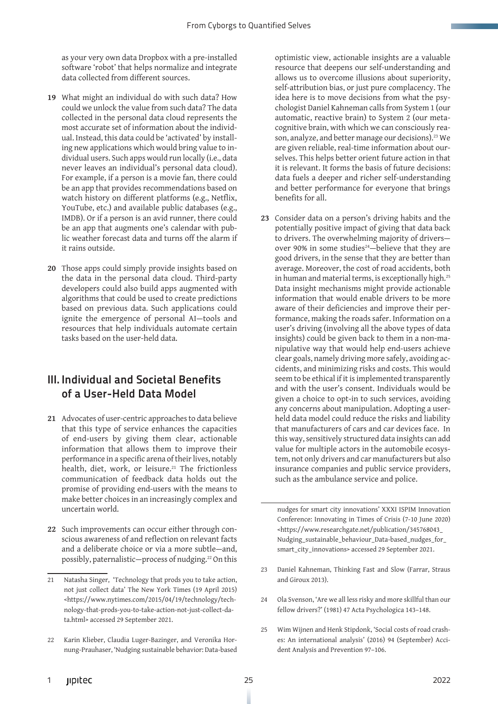as your very own data Dropbox with a pre-installed software 'robot' that helps normalize and integrate data collected from different sources.

- **19** What might an individual do with such data? How could we unlock the value from such data? The data collected in the personal data cloud represents the most accurate set of information about the individual. Instead, this data could be 'activated' by installing new applications which would bring value to individual users. Such apps would run locally (i.e., data never leaves an individual's personal data cloud). For example, if a person is a movie fan, there could be an app that provides recommendations based on watch history on different platforms (e.g., Netflix, YouTube, etc.) and available public databases (e.g., IMDB). Or if a person is an avid runner, there could be an app that augments one's calendar with public weather forecast data and turns off the alarm if it rains outside.
- **20** Those apps could simply provide insights based on the data in the personal data cloud. Third-party developers could also build apps augmented with algorithms that could be used to create predictions based on previous data. Such applications could ignite the emergence of personal AI—tools and resources that help individuals automate certain tasks based on the user-held data.

### III. Individual and Societal Benefits of a User-Held Data Model

- **21** Advocates of user-centric approaches to data believe that this type of service enhances the capacities of end-users by giving them clear, actionable information that allows them to improve their performance in a specific arena of their lives, notably health, diet, work, or leisure.<sup>21</sup> The frictionless communication of feedback data holds out the promise of providing end-users with the means to make better choices in an increasingly complex and uncertain world.
- **22** Such improvements can occur either through conscious awareness of and reflection on relevant facts and a deliberate choice or via a more subtle—and, possibly, paternalistic—process of nudging.<sup>22</sup> On this

22 Karin Klieber, Claudia Luger-Bazinger, and Veronika Hornung-Prauhaser, 'Nudging sustainable behavior: Data-based optimistic view, actionable insights are a valuable resource that deepens our self-understanding and allows us to overcome illusions about superiority, self-attribution bias, or just pure complacency. The idea here is to move decisions from what the psychologist Daniel Kahneman calls from System 1 (our automatic, reactive brain) to System 2 (our metacognitive brain, with which we can consciously reason, analyze, and better manage our decisions).<sup>23</sup> We are given reliable, real-time information about ourselves. This helps better orient future action in that it is relevant. It forms the basis of future decisions: data fuels a deeper and richer self-understanding and better performance for everyone that brings benefits for all.

**23** Consider data on a person's driving habits and the potentially positive impact of giving that data back to drivers. The overwhelming majority of drivers over 90% in some studies<sup>24</sup>-believe that they are good drivers, in the sense that they are better than average. Moreover, the cost of road accidents, both in human and material terms, is exceptionally high.<sup>25</sup> Data insight mechanisms might provide actionable information that would enable drivers to be more aware of their deficiencies and improve their performance, making the roads safer. Information on a user's driving (involving all the above types of data insights) could be given back to them in a non-manipulative way that would help end-users achieve clear goals, namely driving more safely, avoiding accidents, and minimizing risks and costs. This would seem to be ethical if it is implemented transparently and with the user's consent. Individuals would be given a choice to opt-in to such services, avoiding any concerns about manipulation. Adopting a userheld data model could reduce the risks and liability that manufacturers of cars and car devices face. In this way, sensitively structured data insights can add value for multiple actors in the automobile ecosystem, not only drivers and car manufacturers but also insurance companies and public service providers, such as the ambulance service and police.

nudges for smart city innovations' XXXI ISPIM Innovation Conference: Innovating in Times of Crisis (7-10 June 2020) <https://www.researchgate.net/publication/345768043\_ Nudging\_sustainable\_behaviour\_Data-based\_nudges\_for\_ smart\_city\_innovations> accessed 29 September 2021.

- 23 Daniel Kahneman, Thinking Fast and Slow (Farrar, Straus and Giroux 2013).
- 24 Ola Svenson, 'Are we all less risky and more skillful than our fellow drivers?' (1981) 47 Acta Psychologica 143–148.
- 25 Wim Wijnen and Henk Stipdonk, 'Social costs of road crashes: An international analysis' (2016) 94 (September) Accident Analysis and Prevention 97–106.

<sup>21</sup> Natasha Singer, 'Technology that prods you to take action, not just collect data' The New York Times (19 April 2015) <https://www.nytimes.com/2015/04/19/technology/technology-that-prods-you-to-take-action-not-just-collect-data.html> accessed 29 September 2021.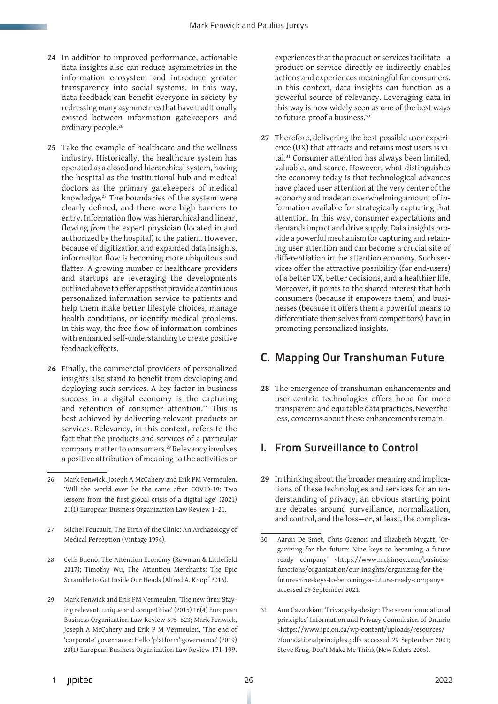- **24** In addition to improved performance, actionable data insights also can reduce asymmetries in the information ecosystem and introduce greater transparency into social systems. In this way, data feedback can benefit everyone in society by redressing many asymmetries that have traditionally existed between information gatekeepers and ordinary people.<sup>26</sup>
- **25** Take the example of healthcare and the wellness industry. Historically, the healthcare system has operated as a closed and hierarchical system, having the hospital as the institutional hub and medical doctors as the primary gatekeepers of medical knowledge.27 The boundaries of the system were clearly defined, and there were high barriers to entry. Information flow was hierarchical and linear, flowing *from* the expert physician (located in and authorized by the hospital) *to* the patient. However, because of digitization and expanded data insights, information flow is becoming more ubiquitous and flatter. A growing number of healthcare providers and startups are leveraging the developments outlined above to offer apps that provide a continuous personalized information service to patients and help them make better lifestyle choices, manage health conditions, or identify medical problems. In this way, the free flow of information combines with enhanced self-understanding to create positive feedback effects.
- **26** Finally, the commercial providers of personalized insights also stand to benefit from developing and deploying such services. A key factor in business success in a digital economy is the capturing and retention of consumer attention.28 This is best achieved by delivering relevant products or services. Relevancy, in this context, refers to the fact that the products and services of a particular company matter to consumers.29 Relevancy involves a positive attribution of meaning to the activities or
- 26 Mark Fenwick, Joseph A McCahery and Erik PM Vermeulen, 'Will the world ever be the same after COVID-19: Two lessons from the first global crisis of a digital age' (2021) 21(1) European Business Organization Law Review 1–21.
- 27 Michel Foucault, The Birth of the Clinic: An Archaeology of Medical Perception (Vintage 1994).
- 28 Celis Bueno, The Attention Economy (Rowman & Littlefield 2017); Timothy Wu, The Attention Merchants: The Epic Scramble to Get Inside Our Heads (Alfred A. Knopf 2016).
- 29 Mark Fenwick and Erik PM Vermeulen, 'The new firm: Staying relevant, unique and competitive' (2015) 16(4) European Business Organization Law Review 595–623; Mark Fenwick, Joseph A McCahery and Erik P M Vermeulen, 'The end of 'corporate' governance: Hello 'platform' governance' (2019) 20(1) European Business Organization Law Review 171-199.

experiences that the product or services facilitate—a product or service directly or indirectly enables actions and experiences meaningful for consumers. In this context, data insights can function as a powerful source of relevancy. Leveraging data in this way is now widely seen as one of the best ways to future-proof a business.<sup>30</sup>

**27** Therefore, delivering the best possible user experience (UX) that attracts and retains most users is vital.31 Consumer attention has always been limited, valuable, and scarce. However, what distinguishes the economy today is that technological advances have placed user attention at the very center of the economy and made an overwhelming amount of information available for strategically capturing that attention. In this way, consumer expectations and demands impact and drive supply. Data insights provide a powerful mechanism for capturing and retaining user attention and can become a crucial site of differentiation in the attention economy. Such services offer the attractive possibility (for end-users) of a better UX, better decisions, and a healthier life. Moreover, it points to the shared interest that both consumers (because it empowers them) and businesses (because it offers them a powerful means to differentiate themselves from competitors) have in promoting personalized insights.

## C. Mapping Our Transhuman Future

**28** The emergence of transhuman enhancements and user-centric technologies offers hope for more transparent and equitable data practices. Nevertheless, concerns about these enhancements remain.

### I. From Surveillance to Control

**29** In thinking about the broader meaning and implications of these technologies and services for an understanding of privacy, an obvious starting point are debates around surveillance, normalization, and control, and the loss—or, at least, the complica-

31 Ann Cavoukian, 'Privacy-by-design: The seven foundational principles' Information and Privacy Commission of Ontario <https://www.ipc.on.ca/wp-content/uploads/resources/ 7foundationalprinciples.pdf> accessed 29 September 2021; Steve Krug, Don't Make Me Think (New Riders 2005).

<sup>30</sup> Aaron De Smet, Chris Gagnon and Elizabeth Mygatt, 'Organizing for the future: Nine keys to becoming a future ready company' <https://www.mckinsey.com/businessfunctions/organization/our-insights/organizing-for-thefuture-nine-keys-to-becoming-a-future-ready-company> accessed 29 September 2021.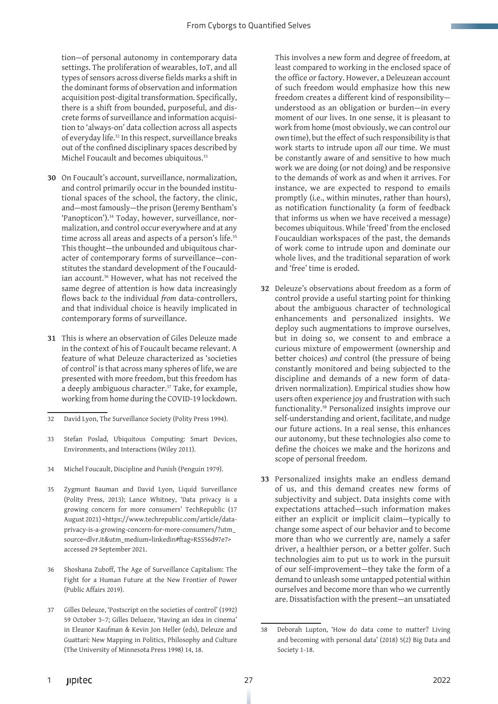tion—of personal autonomy in contemporary data settings. The proliferation of wearables, IoT, and all types of sensors across diverse fields marks a shift in the dominant forms of observation and information acquisition post-digital transformation. Specifically, there is a shift from bounded, purposeful, and discrete forms of surveillance and information acquisition to 'always-on' data collection across all aspects of everyday life.32 In this respect, surveillance breaks out of the confined disciplinary spaces described by Michel Foucault and becomes ubiquitous.<sup>33</sup>

- **30** On Foucault's account, surveillance, normalization, and control primarily occur in the bounded institutional spaces of the school, the factory, the clinic, and—most famously—the prison (Jeremy Bentham's 'Panopticon').34 Today, however, surveillance, normalization, and control occur everywhere and at any time across all areas and aspects of a person's life.<sup>35</sup> This thought—the unbounded and ubiquitous character of contemporary forms of surveillance—constitutes the standard development of the Foucauldian account.<sup>36</sup> However, what has not received the same degree of attention is how data increasingly flows back *to* the individual *from* data-controllers, and that individual choice is heavily implicated in contemporary forms of surveillance.
- **31** This is where an observation of Giles Deleuze made in the context of his of Foucault became relevant. A feature of what Deleuze characterized as 'societies of control' is that across many spheres of life, we are presented with more freedom, but this freedom has a deeply ambiguous character.37 Take, for example, working from home during the COVID-19 lockdown.

- 34 Michel Foucault, Discipline and Punish (Penguin 1979).
- 35 Zygmunt Bauman and David Lyon, Liquid Surveillance (Polity Press, 2013); Lance Whitney, 'Data privacy is a growing concern for more consumers' TechRepublic (17 August 2021) <https://www.techrepublic.com/article/dataprivacy-is-a-growing-concern-for-more-consumers/?utm\_ source=dlvr.it&utm\_medium=linkedin#ftag=RSS56d97e7> accessed 29 September 2021.
- 36 Shoshana Zuboff, The Age of Surveillance Capitalism: The Fight for a Human Future at the New Frontier of Power (Public Affairs 2019).
- 37 Gilles Deleuze, 'Postscript on the societies of control' (1992) 59 October 3–7; Gilles Delueze, 'Having an idea in cinema' in Eleanor Kaufman & Kevin Jon Heller (eds), Deleuze and Guattari: New Mapping in Politics, Philosophy and Culture (The University of Minnesota Press 1998) 14, 18.

This involves a new form and degree of freedom, at least compared to working in the enclosed space of the office or factory. However, a Deleuzean account of such freedom would emphasize how this new freedom creates a different kind of responsibility understood as an obligation or burden—in every moment of our lives. In one sense, it is pleasant to work from home (most obviously, we can control our own time), but the effect of such responsibility is that work starts to intrude upon *all* our time. We must be constantly aware of and sensitive to how much work we are doing (or not doing) and be responsive to the demands of work as and when it arrives. For instance, we are expected to respond to emails promptly (i.e., within minutes, rather than hours), as notification functionality (a form of feedback that informs us when we have received a message) becomes ubiquitous. While 'freed' from the enclosed Foucauldian workspaces of the past, the demands of work come to intrude upon and dominate our whole lives, and the traditional separation of work and 'free' time is eroded.

- **32** Deleuze's observations about freedom as a form of control provide a useful starting point for thinking about the ambiguous character of technological enhancements and personalized insights. We deploy such augmentations to improve ourselves, but in doing so, we consent to and embrace a curious mixture of empowerment (ownership and better choices) *and* control (the pressure of being constantly monitored and being subjected to the discipline and demands of a new form of datadriven normalization). Empirical studies show how users often experience joy and frustration with such functionality.38 Personalized insights improve our self-understanding and orient, facilitate, and nudge our future actions. In a real sense, this enhances our autonomy, but these technologies also come to define the choices we make and the horizons and scope of personal freedom.
- **33** Personalized insights make an endless demand of us, and this demand creates new forms of subjectivity and subject. Data insights come with expectations attached—such information makes either an explicit or implicit claim—typically to change some aspect of our behavior and to become more than who we currently are, namely a safer driver, a healthier person, or a better golfer. Such technologies aim to put us to work in the pursuit of our self-improvement—they take the form of a demand to unleash some untapped potential within ourselves and become more than who we currently are. Dissatisfaction with the present—an unsatiated

<sup>32</sup> David Lyon, The Surveillance Society (Polity Press 1994).

<sup>33</sup> Stefan Poslad, Ubiquitous Computing: Smart Devices, Environments, and Interactions (Wiley 2011).

<sup>38</sup> Deborah Lupton, 'How do data come to matter? Living and becoming with personal data' (2018) 5(2) Big Data and Society 1-18.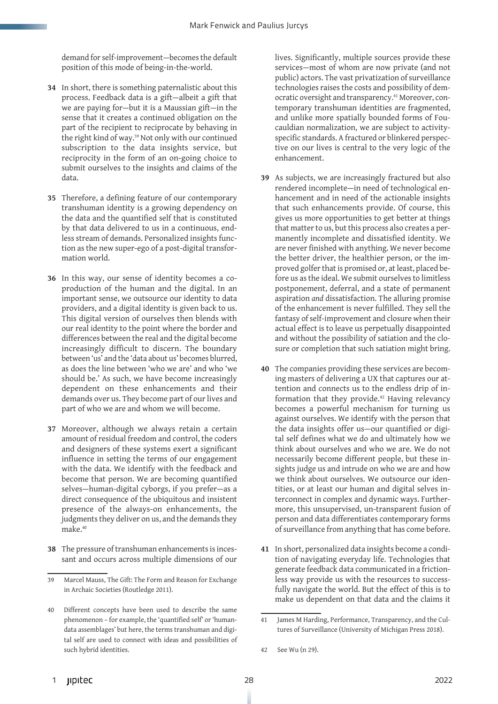demand for self-improvement—becomes the default position of this mode of being-in-the-world.

- **34** In short, there is something paternalistic about this process. Feedback data is a gift—albeit a gift that we are paying for—but it is a Maussian gift—in the sense that it creates a continued obligation on the part of the recipient to reciprocate by behaving in the right kind of way.<sup>39</sup> Not only with our continued subscription to the data insights service, but reciprocity in the form of an on-going choice to submit ourselves to the insights and claims of the data.
- **35** Therefore, a defining feature of our contemporary transhuman identity is a growing dependency on the data and the quantified self that is constituted by that data delivered to us in a continuous, endless stream of demands. Personalized insights function as the new super-ego of a post-digital transformation world.
- **36** In this way, our sense of identity becomes a coproduction of the human and the digital. In an important sense, we outsource our identity to data providers, and a digital identity is given back to us. This digital version of ourselves then blends with our real identity to the point where the border and differences between the real and the digital become increasingly difficult to discern. The boundary between 'us' and the 'data about us' becomes blurred, as does the line between 'who we are' and who 'we should be.' As such, we have become increasingly dependent on these enhancements and their demands over us. They become part of our lives and part of who we are and whom we will become.
- **37** Moreover, although we always retain a certain amount of residual freedom and control, the coders and designers of these systems exert a significant influence in setting the terms of our engagement with the data. We identify with the feedback and become that person. We are becoming quantified selves—human-digital cyborgs, if you prefer—as a direct consequence of the ubiquitous and insistent presence of the always-on enhancements, the judgments they deliver on us, and the demands they make.40
- **38** The pressure of transhuman enhancements is incessant and occurs across multiple dimensions of our

lives. Significantly, multiple sources provide these services—most of whom are now private (and not public) actors. The vast privatization of surveillance technologies raises the costs and possibility of democratic oversight and transparency.<sup>41</sup> Moreover, contemporary transhuman identities are fragmented, and unlike more spatially bounded forms of Foucauldian normalization, we are subject to activityspecific standards. A fractured or blinkered perspective on our lives is central to the very logic of the enhancement.

- **39** As subjects, we are increasingly fractured but also rendered incomplete—in need of technological enhancement and in need of the actionable insights that such enhancements provide. Of course, this gives us more opportunities to get better at things that matter to us, but this process also creates a permanently incomplete and dissatisfied identity. We are never finished with anything. We never become the better driver, the healthier person, or the improved golfer that is promised or, at least, placed before us as the ideal. We submit ourselves to limitless postponement, deferral, and a state of permanent aspiration *and* dissatisfaction. The alluring promise of the enhancement is never fulfilled. They sell the fantasy of self-improvement and closure when their actual effect is to leave us perpetually disappointed and without the possibility of satiation and the closure or completion that such satiation might bring.
- **40** The companies providing these services are becoming masters of delivering a UX that captures our attention and connects us to the endless drip of information that they provide.42 Having relevancy becomes a powerful mechanism for turning us against ourselves. We identify with the person that the data insights offer us—our quantified or digital self defines what we do and ultimately how we think about ourselves and who we are. We do not necessarily become different people, but these insights judge us and intrude on who we are and how we think about ourselves. We outsource our identities, or at least our human and digital selves interconnect in complex and dynamic ways. Furthermore, this unsupervised, un-transparent fusion of person and data differentiates contemporary forms of surveillance from anything that has come before.
- **41** In short, personalized data insights become a condition of navigating everyday life. Technologies that generate feedback data communicated in a frictionless way provide us with the resources to successfully navigate the world. But the effect of this is to make us dependent on that data and the claims it

<sup>39</sup> Marcel Mauss, The Gift: The Form and Reason for Exchange in Archaic Societies (Routledge 2011).

<sup>40</sup> Different concepts have been used to describe the same phenomenon – for example, the 'quantified self' or 'humandata assemblages' but here, the terms transhuman and digital self are used to connect with ideas and possibilities of such hybrid identities.

<sup>41</sup> James M Harding, Performance, Transparency, and the Cultures of Surveillance (University of Michigan Press 2018).

<sup>42</sup> See Wu (n 29).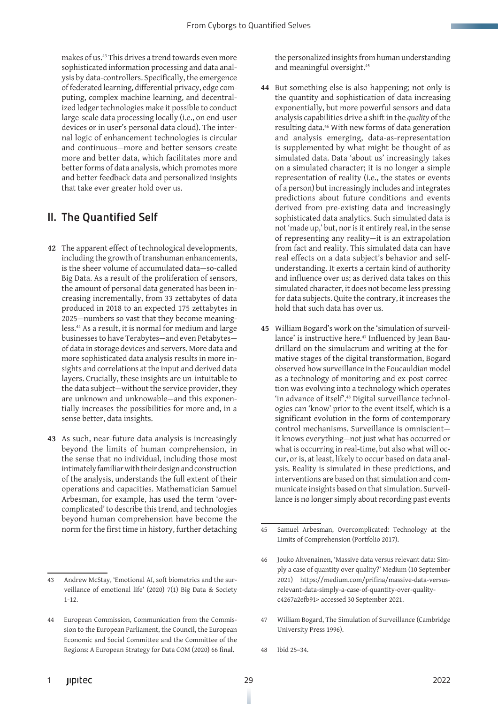makes of us.43 This drives a trend towards even more sophisticated information processing and data analysis by data-controllers. Specifically, the emergence of federated learning, differential privacy, edge computing, complex machine learning, and decentralized ledger technologies make it possible to conduct large-scale data processing locally (i.e., on end-user devices or in user's personal data cloud). The internal logic of enhancement technologies is circular and continuous—more and better sensors create more and better data, which facilitates more and better forms of data analysis, which promotes more and better feedback data and personalized insights that take ever greater hold over us.

#### II. The Quantified Self

- **42** The apparent effect of technological developments, including the growth of transhuman enhancements, is the sheer volume of accumulated data—so-called Big Data. As a result of the proliferation of sensors, the amount of personal data generated has been increasing incrementally, from 33 zettabytes of data produced in 2018 to an expected 175 zettabytes in 2025—numbers so vast that they become meaningless.44 As a result, it is normal for medium and large businesses to have Terabytes—and even Petabytes of data in storage devices and servers. More data and more sophisticated data analysis results in more insights and correlations at the input and derived data layers. Crucially, these insights are un-intuitable to the data subject—without the service provider, they are unknown and unknowable—and this exponentially increases the possibilities for more and, in a sense better, data insights.
- **43** As such, near-future data analysis is increasingly beyond the limits of human comprehension, in the sense that no individual, including those most intimately familiar with their design and construction of the analysis, understands the full extent of their operations and capacities. Mathematician Samuel Arbesman, for example, has used the term 'overcomplicated' to describe this trend, and technologies beyond human comprehension have become the norm for the first time in history, further detaching

the personalized insights from human understanding and meaningful oversight.45

- **44** But something else is also happening; not only is the quantity and sophistication of data increasing exponentially, but more powerful sensors and data analysis capabilities drive a shift in the *quality* of the resulting data.46 With new forms of data generation and analysis emerging, data-as-representation is supplemented by what might be thought of as simulated data. Data 'about us' increasingly takes on a simulated character; it is no longer a simple representation of reality (i.e., the states or events of a person) but increasingly includes and integrates predictions about future conditions and events derived from pre-existing data and increasingly sophisticated data analytics. Such simulated data is not 'made up,' but, nor is it entirely real, in the sense of representing any reality—it is an extrapolation from fact and reality. This simulated data can have real effects on a data subject's behavior and selfunderstanding. It exerts a certain kind of authority and influence over us; as derived data takes on this simulated character, it does not become less pressing for data subjects. Quite the contrary, it increases the hold that such data has over us.
- **45** William Bogard's work on the 'simulation of surveillance' is instructive here.47 Influenced by Jean Baudrillard on the simulacrum and writing at the formative stages of the digital transformation, Bogard observed how surveillance in the Foucauldian model as a technology of monitoring and ex-post correction was evolving into a technology which operates 'in advance of itself'.48 Digital surveillance technologies can 'know' prior to the event itself, which is a significant evolution in the form of contemporary control mechanisms. Surveillance is omniscient it knows everything—not just what has occurred or what is occurring in real-time, but also what will occur, or is, at least, likely to occur based on data analysis. Reality is simulated in these predictions, and interventions are based on that simulation and communicate insights based on that simulation. Surveillance is no longer simply about recording past events

- 47 William Bogard, The Simulation of Surveillance (Cambridge University Press 1996).
- 48 Ibid 25–34.

<sup>43</sup> Andrew McStay, 'Emotional AI, soft biometrics and the surveillance of emotional life' (2020) 7(1) Big Data & Society 1-12.

<sup>44</sup> European Commission, Communication from the Commission to the European Parliament, the Council, the European Economic and Social Committee and the Committee of the Regions: A European Strategy for Data COM (2020) 66 final.

<sup>45</sup> Samuel Arbesman, Overcomplicated: Technology at the Limits of Comprehension (Portfolio 2017).

<sup>46</sup> Jouko Ahvenainen, 'Massive data versus relevant data: Simply a case of quantity over quality?' Medium (10 September 2021) https://medium.com/prifina/massive-data-versusrelevant-data-simply-a-case-of-quantity-over-qualityc4267a2efb91> accessed 30 September 2021.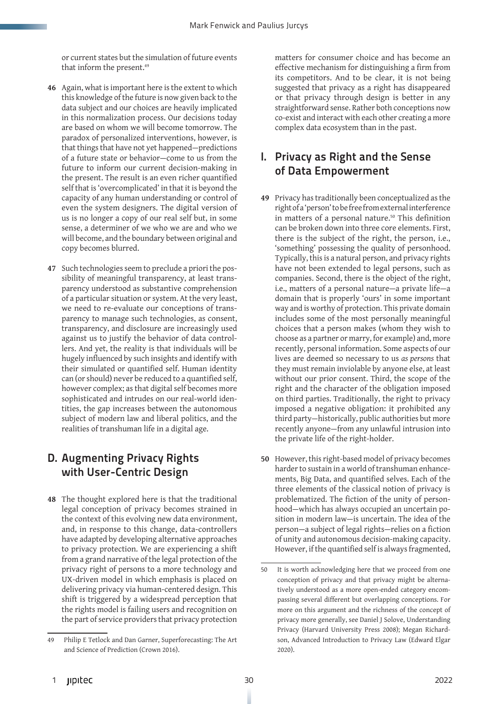or current states but the simulation of future events that inform the present.<sup>49</sup>

- **46** Again, what is important here is the extent to which this knowledge of the future is now given back to the data subject and our choices are heavily implicated in this normalization process. Our decisions today are based on whom we will become tomorrow. The paradox of personalized interventions, however, is that things that have not yet happened—predictions of a future state or behavior—come to us from the future to inform our current decision-making in the present. The result is an even richer quantified self that is 'overcomplicated' in that it is beyond the capacity of any human understanding or control of even the system designers. The digital version of us is no longer a copy of our real self but, in some sense, a determiner of we who we are and who we will become, and the boundary between original and copy becomes blurred.
- **47** Such technologies seem to preclude a priori the possibility of meaningful transparency, at least transparency understood as substantive comprehension of a particular situation or system. At the very least, we need to re-evaluate our conceptions of transparency to manage such technologies, as consent, transparency, and disclosure are increasingly used against us to justify the behavior of data controllers. And yet, the reality is that individuals will be hugely influenced by such insights and identify with their simulated or quantified self. Human identity can (or should) never be reduced to a quantified self, however complex; as that digital self becomes more sophisticated and intrudes on our real-world identities, the gap increases between the autonomous subject of modern law and liberal politics, and the realities of transhuman life in a digital age.

# D. Augmenting Privacy Rights with User-Centric Design

**48** The thought explored here is that the traditional legal conception of privacy becomes strained in the context of this evolving new data environment, and, in response to this change, data-controllers have adapted by developing alternative approaches to privacy protection. We are experiencing a shift from a grand narrative of the legal protection of the privacy right of persons to a more technology and UX-driven model in which emphasis is placed on delivering privacy via human-centered design. This shift is triggered by a widespread perception that the rights model is failing users and recognition on the part of service providers that privacy protection

matters for consumer choice and has become an effective mechanism for distinguishing a firm from its competitors. And to be clear, it is not being suggested that privacy as a right has disappeared or that privacy through design is better in any straightforward sense. Rather both conceptions now co-exist and interact with each other creating a more complex data ecosystem than in the past.

#### I. Privacy as Right and the Sense of Data Empowerment

- **49** Privacy has traditionally been conceptualized as the right of a 'person' to be free from external interference in matters of a personal nature.<sup>50</sup> This definition can be broken down into three core elements. First, there is the subject of the right, the person, i.e., 'something' possessing the quality of personhood. Typically, this is a natural person, and privacy rights have not been extended to legal persons, such as companies. Second, there is the object of the right, i.e., matters of a personal nature—a private life—a domain that is properly 'ours' in some important way and is worthy of protection. This private domain includes some of the most personally meaningful choices that a person makes (whom they wish to choose as a partner or marry, for example) and, more recently, personal information. Some aspects of our lives are deemed so necessary to us *as persons* that they must remain inviolable by anyone else, at least without our prior consent. Third, the scope of the right and the character of the obligation imposed on third parties. Traditionally, the right to privacy imposed a negative obligation: it prohibited any third party—historically, public authorities but more recently anyone—from any unlawful intrusion into the private life of the right-holder.
- **50** However, this right-based model of privacy becomes harder to sustain in a world of transhuman enhancements, Big Data, and quantified selves. Each of the three elements of the classical notion of privacy is problematized. The fiction of the unity of personhood—which has always occupied an uncertain position in modern law—is uncertain. The idea of the person—a subject of legal rights—relies on a fiction of unity and autonomous decision-making capacity. However, if the quantified self is always fragmented,

<sup>49</sup> Philip E Tetlock and Dan Garner, Superforecasting: The Art and Science of Prediction (Crown 2016).

<sup>50</sup> It is worth acknowledging here that we proceed from one conception of privacy and that privacy might be alternatively understood as a more open-ended category encompassing several different but overlapping conceptions. For more on this argument and the richness of the concept of privacy more generally, see Daniel J Solove, Understanding Privacy (Harvard University Press 2008); Megan Richardson, Advanced Introduction to Privacy Law (Edward Elgar 2020).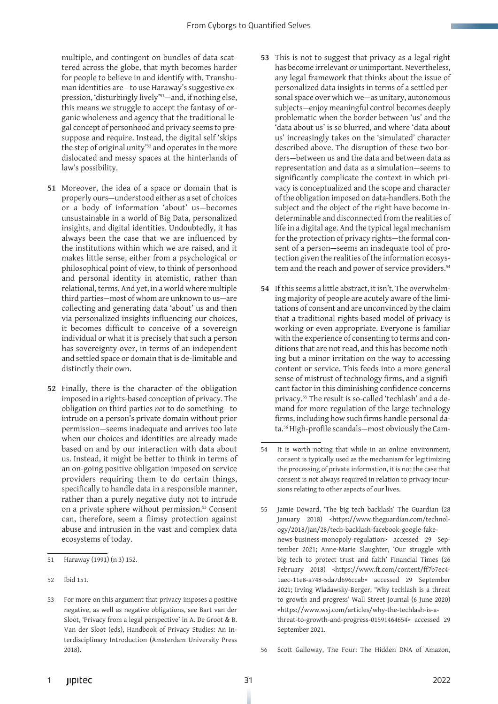multiple, and contingent on bundles of data scattered across the globe, that myth becomes harder for people to believe in and identify with. Transhuman identities are—to use Haraway's suggestive expression, 'disturbingly lively'51—and, if nothing else, this means we struggle to accept the fantasy of organic wholeness and agency that the traditional legal concept of personhood and privacy seems to presuppose and require. Instead, the digital self 'skips the step of original unity'<sup>52</sup> and operates in the more dislocated and messy spaces at the hinterlands of law's possibility.

- **51** Moreover, the idea of a space or domain that is properly ours—understood either as a set of choices or a body of information 'about' us—becomes unsustainable in a world of Big Data, personalized insights, and digital identities. Undoubtedly, it has always been the case that we are influenced by the institutions within which we are raised, and it makes little sense, either from a psychological or philosophical point of view, to think of personhood and personal identity in atomistic, rather than relational, terms. And yet, in a world where multiple third parties—most of whom are unknown to us—are collecting and generating data 'about' us and then via personalized insights influencing our choices, it becomes difficult to conceive of a sovereign individual or what it is precisely that such a person has sovereignty over, in terms of an independent and settled space or domain that is de-limitable and distinctly their own.
- **52** Finally, there is the character of the obligation imposed in a rights-based conception of privacy. The obligation on third parties *not* to do something—to intrude on a person's private domain without prior permission—seems inadequate and arrives too late when our choices and identities are already made based on and by our interaction with data about us. Instead, it might be better to think in terms of an on-going positive obligation imposed on service providers requiring them to do certain things, specifically to handle data in a responsible manner, rather than a purely negative duty not to intrude on a private sphere without permission.53 Consent can, therefore, seem a flimsy protection against abuse and intrusion in the vast and complex data ecosystems of today.
- **53** This is not to suggest that privacy as a legal right has become irrelevant or unimportant. Nevertheless, any legal framework that thinks about the issue of personalized data insights in terms of a settled personal space over which we—as unitary, autonomous subjects—enjoy meaningful control becomes deeply problematic when the border between 'us' and the 'data about us' is so blurred, and where 'data about us' increasingly takes on the 'simulated' character described above. The disruption of these two borders—between us and the data and between data as representation and data as a simulation—seems to significantly complicate the context in which privacy is conceptualized and the scope and character of the obligation imposed on data-handlers. Both the subject and the object of the right have become indeterminable and disconnected from the realities of life in a digital age. And the typical legal mechanism for the protection of privacy rights—the formal consent of a person—seems an inadequate tool of protection given the realities of the information ecosystem and the reach and power of service providers.<sup>54</sup>
- **54** If this seems a little abstract, it isn't. The overwhelming majority of people are acutely aware of the limitations of consent and are unconvinced by the claim that a traditional rights-based model of privacy is working or even appropriate. Everyone is familiar with the experience of consenting to terms and conditions that are not read, and this has become nothing but a minor irritation on the way to accessing content or service. This feeds into a more general sense of mistrust of technology firms, and a significant factor in this diminishing confidence concerns privacy.55 The result is so-called 'techlash' and a demand for more regulation of the large technology firms, including how such firms handle personal data.56 High-profile scandals—most obviously the Cam-

<sup>51</sup> Haraway (1991) (n 3) 152.

<sup>52</sup> Ibid 151.

<sup>53</sup> For more on this argument that privacy imposes a positive negative, as well as negative obligations, see Bart van der Sloot, 'Privacy from a legal perspective' in A. De Groot & B. Van der Sloot (eds), Handbook of Privacy Studies: An Interdisciplinary Introduction (Amsterdam University Press 2018).

<sup>54</sup> It is worth noting that while in an online environment, consent is typically used as the mechanism for legitimizing the processing of private information, it is not the case that consent is not always required in relation to privacy incursions relating to other aspects of our lives.

<sup>55</sup> Jamie Doward, 'The big tech backlash' The Guardian (28 January 2018) <https://www.theguardian.com/technology/2018/jan/28/tech-backlash-facebook-google-fakenews-business-monopoly-regulation> accessed 29 September 2021; Anne-Marie Slaughter, 'Our struggle with big tech to protect trust and faith' Financial Times (26 February 2018) <https://www.ft.com/content/ff7b7ec4- 1aec-11e8-a748-5da7d696ccab> accessed 29 September 2021; Irving Wladawsky-Berger, 'Why techlash is a threat to growth and progress' Wall Street Journal (6 June 2020) <https://www.wsj.com/articles/why-the-techlash-is-athreat-to-growth-and-progress-01591464654> accessed 29 September 2021.

<sup>56</sup> Scott Galloway, The Four: The Hidden DNA of Amazon,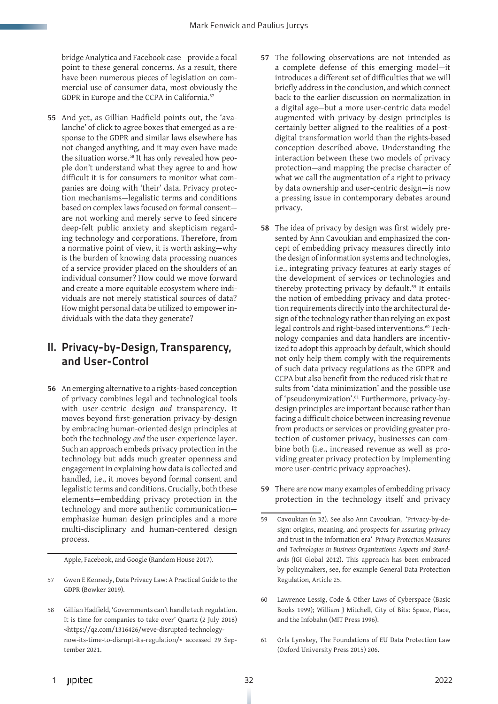bridge Analytica and Facebook case—provide a focal point to these general concerns. As a result, there have been numerous pieces of legislation on commercial use of consumer data, most obviously the GDPR in Europe and the CCPA in California.<sup>57</sup>

**55** And yet, as Gillian Hadfield points out, the 'avalanche' of click to agree boxes that emerged as a response to the GDPR and similar laws elsewhere has not changed anything, and it may even have made the situation worse.<sup>58</sup> It has only revealed how people don't understand what they agree to and how difficult it is for consumers to monitor what companies are doing with 'their' data. Privacy protection mechanisms—legalistic terms and conditions based on complex laws focused on formal consent are not working and merely serve to feed sincere deep-felt public anxiety and skepticism regarding technology and corporations. Therefore, from a normative point of view, it is worth asking—why is the burden of knowing data processing nuances of a service provider placed on the shoulders of an individual consumer? How could we move forward and create a more equitable ecosystem where individuals are not merely statistical sources of data? How might personal data be utilized to empower individuals with the data they generate?

#### II. Privacy-by-Design, Transparency, and User-Control

**56** An emerging alternative to a rights-based conception of privacy combines legal and technological tools with user-centric design *and* transparency. It moves beyond first-generation privacy-by-design by embracing human-oriented design principles at both the technology *and* the user-experience layer. Such an approach embeds privacy protection in the technology but adds much greater openness and engagement in explaining how data is collected and handled, i.e., it moves beyond formal consent and legalistic terms and conditions. Crucially, both these elements—embedding privacy protection in the technology and more authentic communication emphasize human design principles and a more multi-disciplinary and human-centered design process.

Apple, Facebook, and Google (Random House 2017).

- 57 Gwen E Kennedy, Data Privacy Law: A Practical Guide to the GDPR (Bowker 2019).
- 58 Gillian Hadfield, 'Governments can't handle tech regulation. It is time for companies to take over' Quartz (2 July 2018) <https://qz.com/1316426/weve-disrupted-technologynow-its-time-to-disrupt-its-regulation/> accessed 29 September 2021.
- **57** The following observations are not intended as a complete defense of this emerging model—it introduces a different set of difficulties that we will briefly address in the conclusion, and which connect back to the earlier discussion on normalization in a digital age—but a more user-centric data model augmented with privacy-by-design principles is certainly better aligned to the realities of a postdigital transformation world than the rights-based conception described above. Understanding the interaction between these two models of privacy protection—and mapping the precise character of what we call the augmentation of a right to privacy by data ownership and user-centric design—is now a pressing issue in contemporary debates around privacy.
- **58** The idea of privacy by design was first widely presented by Ann Cavoukian and emphasized the concept of embedding privacy measures directly into the design of information systems and technologies, i.e., integrating privacy features at early stages of the development of services or technologies and thereby protecting privacy by default.<sup>59</sup> It entails the notion of embedding privacy and data protection requirements directly into the architectural design of the technology rather than relying on ex post legal controls and right-based interventions.<sup>60</sup> Technology companies and data handlers are incentivized to adopt this approach by default, which should not only help them comply with the requirements of such data privacy regulations as the GDPR and CCPA but also benefit from the reduced risk that results from 'data minimization' and the possible use of 'pseudonymization'.61 Furthermore, privacy-bydesign principles are important because rather than facing a difficult choice between increasing revenue from products or services or providing greater protection of customer privacy, businesses can combine both (i.e., increased revenue as well as providing greater privacy protection by implementing more user-centric privacy approaches).
- **59** There are now many examples of embedding privacy protection in the technology itself and privacy
- 59 Cavoukian (n 32). See also Ann Cavoukian, 'Privacy-by-design: origins, meaning, and prospects for assuring privacy and trust in the information era' *Privacy Protection Measures and Technologies in Business Organizations: Aspects and Standards (*IGI Global 2012). This approach has been embraced by policymakers, see, for example General Data Protection Regulation, Article 25.
- 60 Lawrence Lessig, Code & Other Laws of Cyberspace (Basic Books 1999); William J Mitchell, City of Bits: Space, Place, and the Infobahn (MIT Press 1996).
- 61 Orla Lynskey, The Foundations of EU Data Protection Law (Oxford University Press 2015) 206.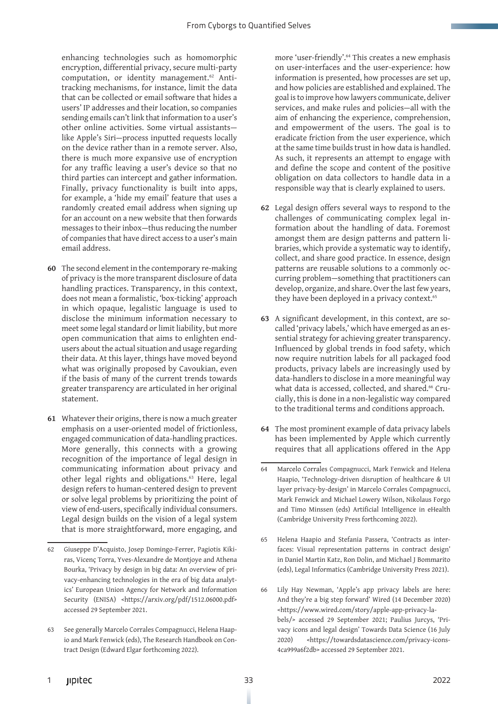enhancing technologies such as homomorphic encryption, differential privacy, secure multi-party computation, or identity management.<sup>62</sup> Antitracking mechanisms, for instance, limit the data that can be collected or email software that hides a users' IP addresses and their location, so companies sending emails can't link that information to a user's other online activities. Some virtual assistants like Apple's Siri—process inputted requests locally on the device rather than in a remote server. Also, there is much more expansive use of encryption for any traffic leaving a user's device so that no third parties can intercept and gather information. Finally, privacy functionality is built into apps, for example, a 'hide my email' feature that uses a randomly created email address when signing up for an account on a new website that then forwards messages to their inbox—thus reducing the number of companies that have direct access to a user's main email address.

- **60** The second element in the contemporary re-making of privacy is the more transparent disclosure of data handling practices. Transparency, in this context, does not mean a formalistic, 'box-ticking' approach in which opaque, legalistic language is used to disclose the minimum information necessary to meet some legal standard or limit liability, but more open communication that aims to enlighten endusers about the actual situation and usage regarding their data. At this layer, things have moved beyond what was originally proposed by Cavoukian, even if the basis of many of the current trends towards greater transparency are articulated in her original statement.
- **61** Whatever their origins, there is now a much greater emphasis on a user-oriented model of frictionless, engaged communication of data-handling practices. More generally, this connects with a growing recognition of the importance of legal design in communicating information about privacy and other legal rights and obligations.<sup>63</sup> Here, legal design refers to human-centered design to prevent or solve legal problems by prioritizing the point of view of end-users, specifically individual consumers. Legal design builds on the vision of a legal system that is more straightforward, more engaging, and

more 'user-friendly'.64 This creates a new emphasis on user-interfaces and the user-experience: how information is presented, how processes are set up, and how policies are established and explained. The goal is to improve how lawyers communicate, deliver services, and make rules and policies—all with the aim of enhancing the experience, comprehension, and empowerment of the users. The goal is to eradicate friction from the user experience, which at the same time builds trust in how data is handled. As such, it represents an attempt to engage with and define the scope and content of the positive obligation on data collectors to handle data in a responsible way that is clearly explained to users.

- **62** Legal design offers several ways to respond to the challenges of communicating complex legal information about the handling of data. Foremost amongst them are design patterns and pattern libraries, which provide a systematic way to identify, collect, and share good practice. In essence, design patterns are reusable solutions to a commonly occurring problem—something that practitioners can develop, organize, and share. Over the last few years, they have been deployed in a privacy context.<sup>65</sup>
- **63** A significant development, in this context, are socalled 'privacy labels,' which have emerged as an essential strategy for achieving greater transparency. Influenced by global trends in food safety, which now require nutrition labels for all packaged food products, privacy labels are increasingly used by data-handlers to disclose in a more meaningful way what data is accessed, collected, and shared.<sup>66</sup> Crucially, this is done in a non-legalistic way compared to the traditional terms and conditions approach.
- **64** The most prominent example of data privacy labels has been implemented by Apple which currently requires that all applications offered in the App

- 65 Helena Haapio and Stefania Passera, 'Contracts as interfaces: Visual representation patterns in contract design' in Daniel Martin Katz, Ron Dolin, and Michael J Bommarito (eds), Legal Informatics (Cambridge University Press 2021).
- 66 Lily Hay Newman, 'Apple's app privacy labels are here: And they're a big step forward' Wired (14 December 2020) <https://www.wired.com/story/apple-app-privacy-labels/> accessed 29 September 2021; Paulius Jurcys, 'Privacy icons and legal design' Towards Data Science (16 July 2020) <https://towardsdatascience.com/privacy-icons-4ca999a6f2db> accessed 29 September 2021.

<sup>62</sup> Giuseppe D'Acquisto, Josep Domingo-Ferrer, Pagiotis Kikiras, Vicenç Torra, Yves-Alexandre de Montjoye and Athena Bourka, 'Privacy by design in big data: An overview of privacy-enhancing technologies in the era of big data analytics' European Union Agency for Network and Information Security (ENISA) <https://arxiv.org/pdf/1512.06000.pdf> accessed 29 September 2021.

<sup>63</sup> See generally Marcelo Corrales Compagnucci, Helena Haapio and Mark Fenwick (eds), The Research Handbook on Contract Design (Edward Elgar forthcoming 2022).

<sup>64</sup> Marcelo Corrales Compagnucci, Mark Fenwick and Helena Haapio, 'Technology-driven disruption of healthcare & UI layer privacy-by-design' in Marcelo Corrales Compagnucci, Mark Fenwick and Michael Lowery Wilson, Nikolaus Forgo and Timo Minssen (eds) Artificial Intelligence in eHealth (Cambridge University Press forthcoming 2022).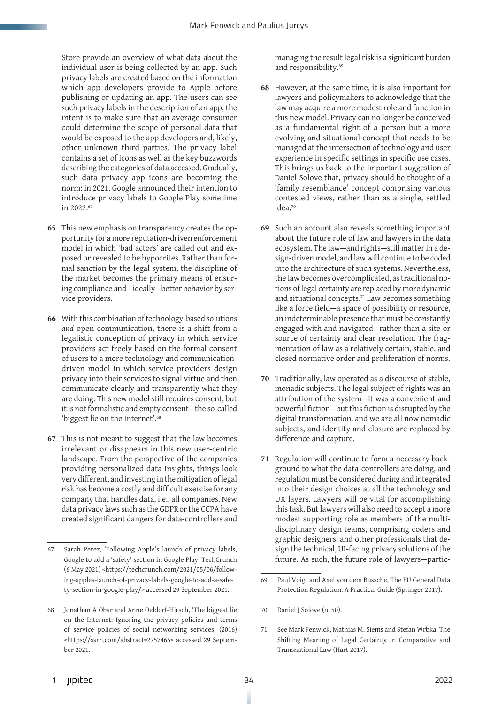Store provide an overview of what data about the individual user is being collected by an app. Such privacy labels are created based on the information which app developers provide to Apple before publishing or updating an app. The users can see such privacy labels in the description of an app; the intent is to make sure that an average consumer could determine the scope of personal data that would be exposed to the app developers and, likely, other unknown third parties. The privacy label contains a set of icons as well as the key buzzwords describing the categories of data accessed. Gradually, such data privacy app icons are becoming the norm: in 2021, Google announced their intention to introduce privacy labels to Google Play sometime in 2022.67

- **65** This new emphasis on transparency creates the opportunity for a more reputation-driven enforcement model in which 'bad actors' are called out and exposed or revealed to be hypocrites. Rather than formal sanction by the legal system, the discipline of the market becomes the primary means of ensuring compliance and—ideally—better behavior by service providers.
- **66** With this combination of technology-based solutions *and* open communication, there is a shift from a legalistic conception of privacy in which service providers act freely based on the formal consent of users to a more technology and communicationdriven model in which service providers design privacy into their services to signal virtue and then communicate clearly and transparently what they are doing. This new model still requires consent, but it is not formalistic and empty consent—the so-called 'biggest lie on the Internet'.<sup>68</sup>
- **67** This is not meant to suggest that the law becomes irrelevant or disappears in this new user-centric landscape. From the perspective of the companies providing personalized data insights, things look very different, and investing in the mitigation of legal risk has become a costly and difficult exercise for any company that handles data, i.e., all companies. New data privacy laws such as the GDPRor the CCPA have created significant dangers for data-controllers and

managing the result legal risk is a significant burden and responsibility.<sup>69</sup>

- **68** However, at the same time, it is also important for lawyers and policymakers to acknowledge that the law may acquire a more modest role and function in this new model. Privacy can no longer be conceived as a fundamental right of a person but a more evolving and situational concept that needs to be managed at the intersection of technology and user experience in specific settings in specific use cases. This brings us back to the important suggestion of Daniel Solove that, privacy should be thought of a 'family resemblance' concept comprising various contested views, rather than as a single, settled idea.70
- **69** Such an account also reveals something important about the future role of law and lawyers in the data ecosystem. The law—and rights—still matter in a design-driven model, and law will continue to be coded into the architecture of such systems. Nevertheless, the law becomes overcomplicated, as traditional notions of legal certainty are replaced by more dynamic and situational concepts.71 Law becomes something like a force field—a space of possibility or resource, an indeterminable presence that must be constantly engaged with and navigated—rather than a site or source of certainty and clear resolution. The fragmentation of law as a relatively certain, stable, and closed normative order and proliferation of norms.
- **70** Traditionally, law operated as a discourse of stable, monadic subjects. The legal subject of rights was an attribution of the system—it was a convenient and powerful fiction—but this fiction is disrupted by the digital transformation, and we are all now nomadic subjects, and identity and closure are replaced by difference and capture.
- **71** Regulation will continue to form a necessary background to what the data-controllers are doing, and regulation must be considered during and integrated into their design choices at all the technology and UX layers. Lawyers will be vital for accomplishing this task. But lawyers will also need to accept a more modest supporting role as members of the multidisciplinary design teams, comprising coders and graphic designers, and other professionals that design the technical, UI-facing privacy solutions of the future. As such, the future role of lawyers—partic-

- 70 Daniel J Solove (n. 50).
- 71 See Mark Fenwick, Mathias M. Siems and Stefan Wrbka, The Shifting Meaning of Legal Certainty in Comparative and Transnational Law (Hart 2017).

<sup>67</sup> Sarah Perez, 'Following Apple's launch of privacy labels, Google to add a 'safety' section in Google Play' TechCrunch (6 May 2021) <https://techcrunch.com/2021/05/06/following-apples-launch-of-privacy-labels-google-to-add-a-safety-section-in-google-play/> accessed 29 September 2021.

<sup>68</sup> Jonathan A Obar and Anne Oeldorf-Hirsch, 'The biggest lie on the Internet: Ignoring the privacy policies and terms of service policies of social networking services' (2016) <https://ssrn.com/abstract=2757465> accessed 29 September 2021.

<sup>69</sup> Paul Voigt and Axel von dem Bussche, The EU General Data Protection Regulation: A Practical Guide (Springer 2017).